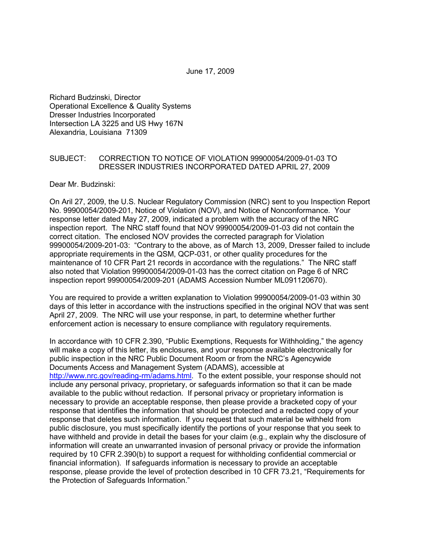June 17, 2009

Richard Budzinski, Director Operational Excellence & Quality Systems Dresser Industries Incorporated Intersection LA 3225 and US Hwy 167N Alexandria, Louisiana 71309

## SUBJECT: CORRECTION TO NOTICE OF VIOLATION 99900054/2009-01-03 TO DRESSER INDUSTRIES INCORPORATED DATED APRIL 27, 2009

Dear Mr. Budzinski:

On Aril 27, 2009, the U.S. Nuclear Regulatory Commission (NRC) sent to you Inspection Report No. 99900054/2009-201, Notice of Violation (NOV), and Notice of Nonconformance. Your response letter dated May 27, 2009, indicated a problem with the accuracy of the NRC inspection report. The NRC staff found that NOV 99900054/2009-01-03 did not contain the correct citation. The enclosed NOV provides the corrected paragraph for Violation 99900054/2009-201-03: "Contrary to the above, as of March 13, 2009, Dresser failed to include appropriate requirements in the QSM, QCP-031, or other quality procedures for the maintenance of 10 CFR Part 21 records in accordance with the regulations." The NRC staff also noted that Violation 99900054/2009-01-03 has the correct citation on Page 6 of NRC inspection report 99900054/2009-201 (ADAMS Accession Number ML091120670).

You are required to provide a written explanation to Violation 99900054/2009-01-03 within 30 days of this letter in accordance with the instructions specified in the original NOV that was sent April 27, 2009. The NRC will use your response, in part, to determine whether further enforcement action is necessary to ensure compliance with regulatory requirements.

In accordance with 10 CFR 2.390, "Public Exemptions, Requests for Withholding," the agency will make a copy of this letter, its enclosures, and your response available electronically for public inspection in the NRC Public Document Room or from the NRC's Agencywide Documents Access and Management System (ADAMS), accessible at http://www.nrc.gov/reading-rm/adams.html. To the extent possible, your response should not include any personal privacy, proprietary, or safeguards information so that it can be made available to the public without redaction. If personal privacy or proprietary information is necessary to provide an acceptable response, then please provide a bracketed copy of your response that identifies the information that should be protected and a redacted copy of your response that deletes such information. If you request that such material be withheld from public disclosure, you must specifically identify the portions of your response that you seek to have withheld and provide in detail the bases for your claim (e.g., explain why the disclosure of information will create an unwarranted invasion of personal privacy or provide the information required by 10 CFR 2.390(b) to support a request for withholding confidential commercial or financial information). If safeguards information is necessary to provide an acceptable response, please provide the level of protection described in 10 CFR 73.21, "Requirements for the Protection of Safeguards Information."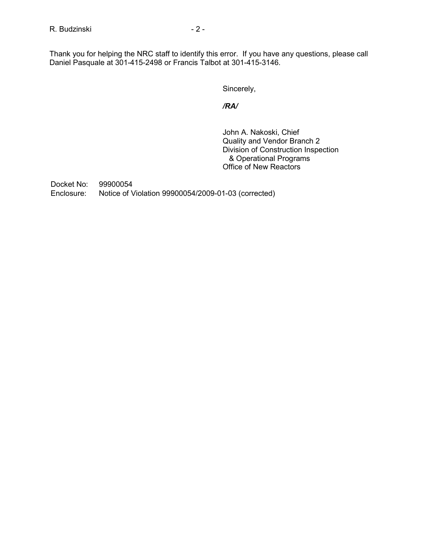Thank you for helping the NRC staff to identify this error. If you have any questions, please call Daniel Pasquale at 301-415-2498 or Francis Talbot at 301-415-3146.

Sincerely,

*/RA/* 

 John A. Nakoski, Chief Quality and Vendor Branch 2 Division of Construction Inspection & Operational Programs Office of New Reactors

Docket No: 99900054 Enclosure: Notice of Violation 99900054/2009-01-03 (corrected)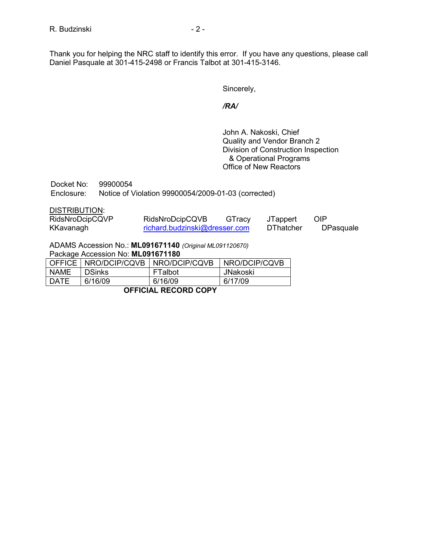Thank you for helping the NRC staff to identify this error. If you have any questions, please call Daniel Pasquale at 301-415-2498 or Francis Talbot at 301-415-3146.

Sincerely,

# */RA/*

 John A. Nakoski, Chief Quality and Vendor Branch 2 Division of Construction Inspection & Operational Programs Office of New Reactors

| Docket No: | 99900054                                            |  |
|------------|-----------------------------------------------------|--|
| Enclosure: | Notice of Violation 99900054/2009-01-03 (corrected) |  |

#### DISTRIBUTION:

| RidsNroDcipCQVP | RidsNroDcipCQVB               | GTracy | JTappert         | OIP       |
|-----------------|-------------------------------|--------|------------------|-----------|
| KKavanagh       | richard.budzinski@dresser.com |        | <b>DThatcher</b> | DPasquale |

ADAMS Accession No.: **ML091671140** *(Original ML091120670)* 

Package Accession No: **ML091671180** 

|      | OFFICE   NRO/DCIP/CQVB | NRO/DCIP/CQVB | NRO/DCIP/CQVB |  |  |  |
|------|------------------------|---------------|---------------|--|--|--|
| NAME | <b>DSinks</b>          | FTalbot       | JNakoski      |  |  |  |
| DATE | 6/16/09                | 6/16/09       | 6/17/09       |  |  |  |
|      |                        |               |               |  |  |  |

**OFFICIAL RECORD COPY**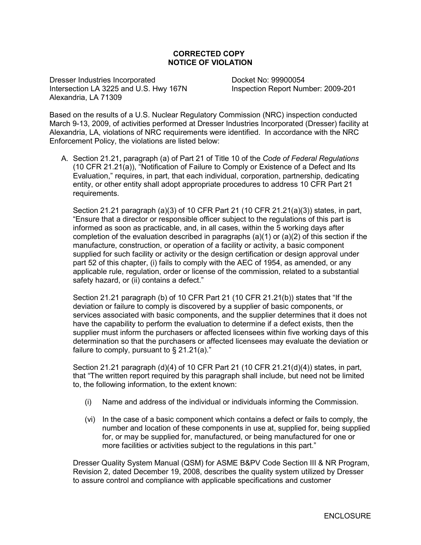# **CORRECTED COPY NOTICE OF VIOLATION**

Dresser Industries Incorporated Docket No: 99900054 Intersection LA 3225 and U.S. Hwy 167N Inspection Report Number: 2009-201 Alexandria, LA 71309

Based on the results of a U.S. Nuclear Regulatory Commission (NRC) inspection conducted March 9-13, 2009, of activities performed at Dresser Industries Incorporated (Dresser) facility at Alexandria, LA, violations of NRC requirements were identified. In accordance with the NRC Enforcement Policy, the violations are listed below:

A. Section 21.21, paragraph (a) of Part 21 of Title 10 of the *Code of Federal Regulations*  (10 CFR 21.21(a)), "Notification of Failure to Comply or Existence of a Defect and Its Evaluation," requires, in part, that each individual, corporation, partnership, dedicating entity, or other entity shall adopt appropriate procedures to address 10 CFR Part 21 requirements.

Section 21.21 paragraph (a)(3) of 10 CFR Part 21 (10 CFR 21.21(a)(3)) states, in part, "Ensure that a director or responsible officer subject to the regulations of this part is informed as soon as practicable, and, in all cases, within the 5 working days after completion of the evaluation described in paragraphs  $(a)(1)$  or  $(a)(2)$  of this section if the manufacture, construction, or operation of a facility or activity, a basic component supplied for such facility or activity or the design certification or design approval under part 52 of this chapter, (i) fails to comply with the AEC of 1954, as amended, or any applicable rule, regulation, order or license of the commission, related to a substantial safety hazard, or (ii) contains a defect."

Section 21.21 paragraph (b) of 10 CFR Part 21 (10 CFR 21.21(b)) states that "If the deviation or failure to comply is discovered by a supplier of basic components, or services associated with basic components, and the supplier determines that it does not have the capability to perform the evaluation to determine if a defect exists, then the supplier must inform the purchasers or affected licensees within five working days of this determination so that the purchasers or affected licensees may evaluate the deviation or failure to comply, pursuant to  $\S$  21.21(a)."

Section 21.21 paragraph (d)(4) of 10 CFR Part 21 (10 CFR 21.21(d)(4)) states, in part, that "The written report required by this paragraph shall include, but need not be limited to, the following information, to the extent known:

- (i) Name and address of the individual or individuals informing the Commission.
- (vi) In the case of a basic component which contains a defect or fails to comply, the number and location of these components in use at, supplied for, being supplied for, or may be supplied for, manufactured, or being manufactured for one or more facilities or activities subject to the regulations in this part."

Dresser Quality System Manual (QSM) for ASME B&PV Code Section III & NR Program, Revision 2, dated December 19, 2008, describes the quality system utilized by Dresser to assure control and compliance with applicable specifications and customer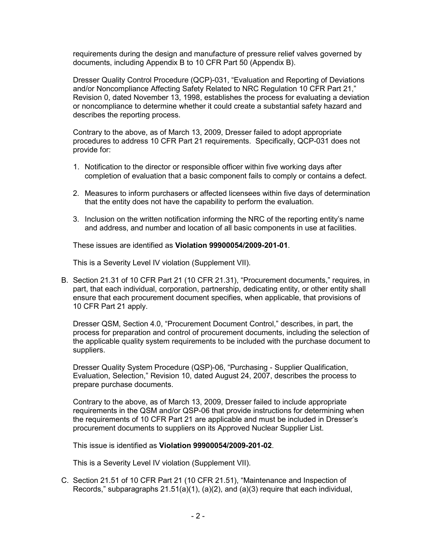requirements during the design and manufacture of pressure relief valves governed by documents, including Appendix B to 10 CFR Part 50 (Appendix B).

Dresser Quality Control Procedure (QCP)-031, "Evaluation and Reporting of Deviations and/or Noncompliance Affecting Safety Related to NRC Regulation 10 CFR Part 21," Revision 0, dated November 13, 1998, establishes the process for evaluating a deviation or noncompliance to determine whether it could create a substantial safety hazard and describes the reporting process.

Contrary to the above, as of March 13, 2009, Dresser failed to adopt appropriate procedures to address 10 CFR Part 21 requirements. Specifically, QCP-031 does not provide for:

- 1. Notification to the director or responsible officer within five working days after completion of evaluation that a basic component fails to comply or contains a defect.
- 2. Measures to inform purchasers or affected licensees within five days of determination that the entity does not have the capability to perform the evaluation.
- 3. Inclusion on the written notification informing the NRC of the reporting entity's name and address, and number and location of all basic components in use at facilities.

These issues are identified as **Violation 99900054/2009-201-01**.

This is a Severity Level IV violation (Supplement VII).

B. Section 21.31 of 10 CFR Part 21 (10 CFR 21.31), "Procurement documents," requires, in part, that each individual, corporation, partnership, dedicating entity, or other entity shall ensure that each procurement document specifies, when applicable, that provisions of 10 CFR Part 21 apply.

Dresser QSM, Section 4.0, "Procurement Document Control," describes, in part, the process for preparation and control of procurement documents, including the selection of the applicable quality system requirements to be included with the purchase document to suppliers.

Dresser Quality System Procedure (QSP)-06, "Purchasing - Supplier Qualification, Evaluation, Selection," Revision 10, dated August 24, 2007, describes the process to prepare purchase documents.

Contrary to the above, as of March 13, 2009, Dresser failed to include appropriate requirements in the QSM and/or QSP-06 that provide instructions for determining when the requirements of 10 CFR Part 21 are applicable and must be included in Dresser's procurement documents to suppliers on its Approved Nuclear Supplier List.

This issue is identified as **Violation 99900054/2009-201-02**.

This is a Severity Level IV violation (Supplement VII).

C. Section 21.51 of 10 CFR Part 21 (10 CFR 21.51), "Maintenance and Inspection of Records," subparagraphs  $21.51(a)(1)$ ,  $(a)(2)$ , and  $(a)(3)$  require that each individual,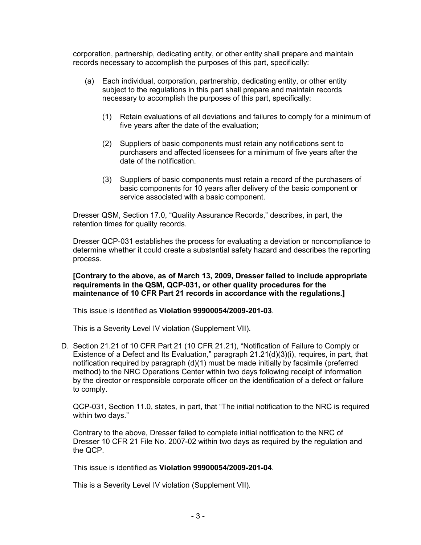corporation, partnership, dedicating entity, or other entity shall prepare and maintain records necessary to accomplish the purposes of this part, specifically:

- (a) Each individual, corporation, partnership, dedicating entity, or other entity subject to the regulations in this part shall prepare and maintain records necessary to accomplish the purposes of this part, specifically:
	- (1) Retain evaluations of all deviations and failures to comply for a minimum of five years after the date of the evaluation;
	- (2) Suppliers of basic components must retain any notifications sent to purchasers and affected licensees for a minimum of five years after the date of the notification.
	- (3) Suppliers of basic components must retain a record of the purchasers of basic components for 10 years after delivery of the basic component or service associated with a basic component.

Dresser QSM, Section 17.0, "Quality Assurance Records," describes, in part, the retention times for quality records.

Dresser QCP-031 establishes the process for evaluating a deviation or noncompliance to determine whether it could create a substantial safety hazard and describes the reporting process.

## **[Contrary to the above, as of March 13, 2009, Dresser failed to include appropriate requirements in the QSM, QCP-031, or other quality procedures for the maintenance of 10 CFR Part 21 records in accordance with the regulations.]**

This issue is identified as **Violation 99900054/2009-201-03**.

This is a Severity Level IV violation (Supplement VII).

D. Section 21.21 of 10 CFR Part 21 (10 CFR 21.21), "Notification of Failure to Comply or Existence of a Defect and Its Evaluation," paragraph  $21.21(d)(3)(i)$ , requires, in part, that notification required by paragraph (d)(1) must be made initially by facsimile (preferred method) to the NRC Operations Center within two days following receipt of information by the director or responsible corporate officer on the identification of a defect or failure to comply.

QCP-031, Section 11.0, states, in part, that "The initial notification to the NRC is required within two days."

Contrary to the above, Dresser failed to complete initial notification to the NRC of Dresser 10 CFR 21 File No. 2007-02 within two days as required by the regulation and the QCP.

This issue is identified as **Violation 99900054/2009-201-04**.

This is a Severity Level IV violation (Supplement VII).